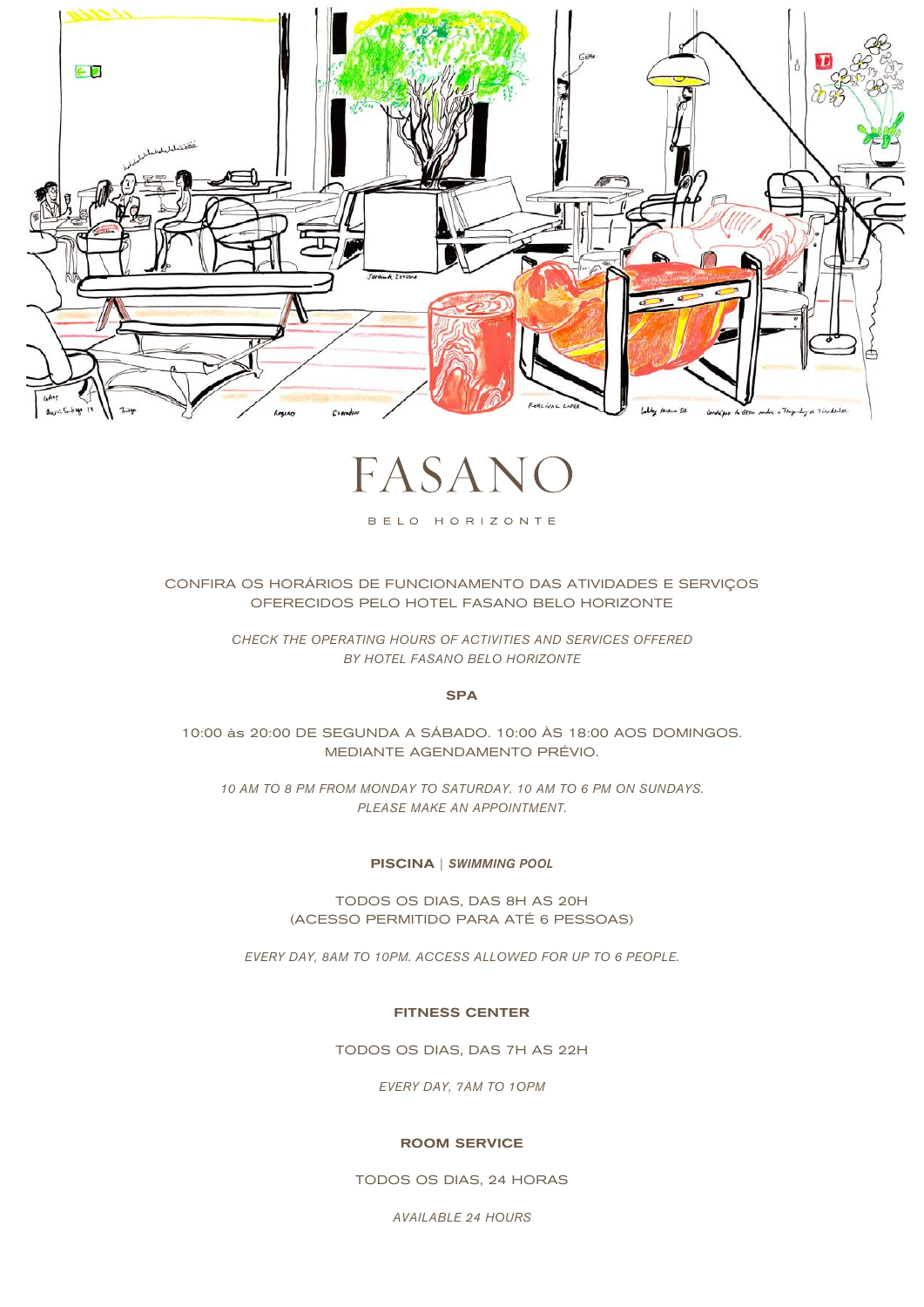

FASAI

BELO HORIZONTE

CONFIRA OS HORÁRIOS DE FUNCIONAMENTO DAS ATIVIDADES E SERVIÇOS OFERECIDOS PELO HOTEL FASANO BELO HORIZONTE

> *CHECK THE OPERATING HOURS OF ACTIVITIES AND SERVICES OFFERED BY HOTEL FASANO BELO HORIZONTE*

> > SPA

10:00 às 20:00 DE SEGUNDA A SÁBADO. 10:00 ÀS 18:00 AOS DOMINGOS. MEDIANTE AGENDAMENTO PRÉVIO.

*10 AM TO 8 PM FROM MONDAY TO SATURDAY. 10 AM TO 6 PM ON SUNDAYS. PLEASE MAKE AN APPOINTMENT.*

## PISCINA | *SWIMMING POOL*

TODOS OS DIAS, DAS 8H AS 20H (ACESSO PERMITIDO PARA ATÉ 6 PESSOAS)

*EVERY DAY, 8AM TO 10PM. ACCESS ALLOWED FOR UP TO 6 PEOPLE.*

# FITNESS CENTER

TODOS OS DIAS, DAS 7H AS 22H

*EVERY DAY, 7AM TO 1OPM*

#### ROOM SERVICE

TODOS OS DIAS, 24 HORAS

*AVAILABLE 24 HOURS*